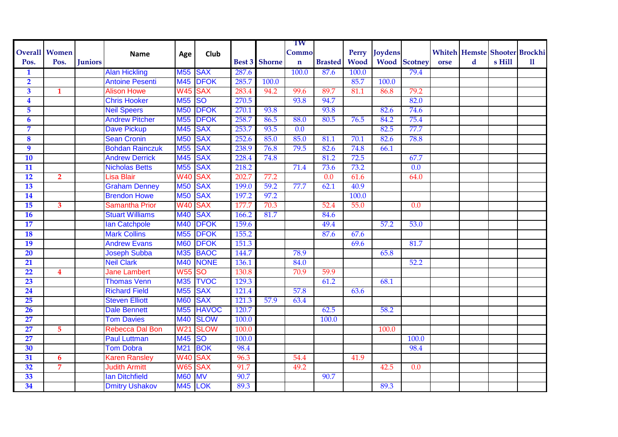|                         |                         |                |                        |                     |                        |       |                      | TW               |                  |             |                |                     |      |   |                                      |              |
|-------------------------|-------------------------|----------------|------------------------|---------------------|------------------------|-------|----------------------|------------------|------------------|-------------|----------------|---------------------|------|---|--------------------------------------|--------------|
|                         | <b>Overall Women</b>    |                | <b>Name</b>            | Age                 | Club                   |       |                      | Commo            |                  | Perry       | <b>Joydens</b> |                     |      |   | <b>Whiteh Hemste Shooter Brockhi</b> |              |
| Pos.                    | Pos.                    | <b>Juniors</b> |                        |                     |                        |       | <b>Best 3</b> Shorne | $\mathbf n$      | <b>Brasted</b>   | <b>Wood</b> |                | <b>Wood</b> Scotney | orse | d | s Hill                               | $\mathbf{u}$ |
| 1                       |                         |                | <b>Alan Hickling</b>   | M55 SAX             |                        | 287.6 |                      | 100.0            | 87.6             | 100.0       |                | 79.4                |      |   |                                      |              |
| $\overline{2}$          |                         |                | <b>Antoine Pesenti</b> | M45                 | <b>DFOK</b>            | 285.7 | 100.0                |                  |                  | 85.7        | 100.0          |                     |      |   |                                      |              |
| $\overline{\mathbf{3}}$ | $\mathbf{1}$            |                | <b>Alison Howe</b>     | W45 SAX             |                        | 283.4 | 94.2                 | 99.6             | 89.7             | 81.1        | 86.8           | 79.2                |      |   |                                      |              |
| $\overline{\mathbf{4}}$ |                         |                | <b>Chris Hooker</b>    | M <sub>55</sub>     | $\overline{\text{SO}}$ | 270.5 |                      | 93.8             | 94.7             |             |                | 82.0                |      |   |                                      |              |
| $\overline{5}$          |                         |                | <b>Neil Speers</b>     | <b>M50</b>          | <b>DFOK</b>            | 270.1 | 93.8                 |                  | 93.8             |             | 82.6           | 74.6                |      |   |                                      |              |
| $\boldsymbol{6}$        |                         |                | <b>Andrew Pitcher</b>  | <b>M55</b>          | <b>DFOK</b>            | 258.7 | 86.5                 | 88.0             | 80.5             | 76.5        | 84.2           | 75.4                |      |   |                                      |              |
| 7                       |                         |                | <b>Dave Pickup</b>     | M45                 | <b>SAX</b>             | 253.7 | 93.5                 | $\overline{0.0}$ |                  |             | 82.5           | 77.7                |      |   |                                      |              |
| $\overline{\mathbf{8}}$ |                         |                | <b>Sean Cronin</b>     | <b>M50</b>          | <b>SAX</b>             | 252.6 | 85.0                 | 85.0             | 81.1             | 70.1        | 82.6           | 78.8                |      |   |                                      |              |
| $\overline{9}$          |                         |                | <b>Bohdan Rainczuk</b> | <b>M55</b>          | <b>SAX</b>             | 238.9 | 76.8                 | 79.5             | 82.6             | 74.8        | 66.1           |                     |      |   |                                      |              |
| $\overline{10}$         |                         |                | <b>Andrew Derrick</b>  | M45                 | <b>SAX</b>             | 228.4 | 74.8                 |                  | 81.2             | 72.5        |                | 67.7                |      |   |                                      |              |
| $\overline{11}$         |                         |                | <b>Nicholas Betts</b>  | M <sub>55</sub>     | <b>SAX</b>             | 218.2 |                      | 71.4             | 73.6             | 73.2        |                | 0.0                 |      |   |                                      |              |
| 12                      | $\overline{2}$          |                | Lisa Blair             | W <sub>40</sub> SAX |                        | 202.7 | 77.2                 |                  | $\overline{0.0}$ | 61.6        |                | 64.0                |      |   |                                      |              |
| 13                      |                         |                | <b>Graham Denney</b>   | <b>M50</b>          | <b>SAX</b>             | 199.0 | 59.2                 | 77.7             | 62.1             | 40.9        |                |                     |      |   |                                      |              |
| 14                      |                         |                | <b>Brendon Howe</b>    | <b>M50</b>          | <b>SAX</b>             | 197.2 | 97.2                 |                  |                  | 100.0       |                |                     |      |   |                                      |              |
| 15                      | $\mathbf{3}$            |                | Samantha Prior         | <b>W40</b>          | <b>SAX</b>             | 177.7 | 70.3                 |                  | 52.4             | 55.0        |                | $\overline{0.0}$    |      |   |                                      |              |
| <b>16</b>               |                         |                | <b>Stuart Williams</b> | M40                 | <b>SAX</b>             | 166.2 | 81.7                 |                  | 84.6             |             |                |                     |      |   |                                      |              |
| $\overline{17}$         |                         |                | <b>Ian Catchpole</b>   | <b>M40</b>          | <b>DFOK</b>            | 159.6 |                      |                  | 49.4             |             | 57.2           | 53.0                |      |   |                                      |              |
| <b>18</b>               |                         |                | <b>Mark Collins</b>    | <b>M55</b>          | <b>DFOK</b>            | 155.2 |                      |                  | 87.6             | 67.6        |                |                     |      |   |                                      |              |
| 19                      |                         |                | <b>Andrew Evans</b>    | <b>M60</b>          | <b>DFOK</b>            | 151.3 |                      |                  |                  | 69.6        |                | 81.7                |      |   |                                      |              |
| 20                      |                         |                | <b>Joseph Subba</b>    | M35                 | <b>BAOC</b>            | 144.7 |                      | 78.9             |                  |             | 65.8           |                     |      |   |                                      |              |
| 21                      |                         |                | <b>Neil Clark</b>      | M40                 | <b>NONE</b>            | 136.1 |                      | 84.0             |                  |             |                | 52.2                |      |   |                                      |              |
| 22                      | $\overline{\mathbf{4}}$ |                | <b>Jane Lambert</b>    | W55                 | <b>SO</b>              | 130.8 |                      | 70.9             | 59.9             |             |                |                     |      |   |                                      |              |
| 23                      |                         |                | <b>Thomas Venn</b>     | M35                 | <b>TVOC</b>            | 129.3 |                      |                  | 61.2             |             | 68.1           |                     |      |   |                                      |              |
| 24                      |                         |                | <b>Richard Field</b>   | <b>M55</b>          | <b>SAX</b>             | 121.4 |                      | 57.8             |                  | 63.6        |                |                     |      |   |                                      |              |
| 25                      |                         |                | <b>Steven Elliott</b>  | <b>M60</b>          | <b>SAX</b>             | 121.3 | 57.9                 | 63.4             |                  |             |                |                     |      |   |                                      |              |
| 26                      |                         |                | <b>Dale Bennett</b>    | <b>M55</b>          | <b>HAVOC</b>           | 120.7 |                      |                  | 62.5             |             | 58.2           |                     |      |   |                                      |              |
| 27                      |                         |                | <b>Tom Davies</b>      | <b>M40</b>          | <b>SLOW</b>            | 100.0 |                      |                  | 100.0            |             |                |                     |      |   |                                      |              |
| 27                      | 5                       |                | Rebecca Dal Bon        | W21                 | <b>SLOW</b>            | 100.0 |                      |                  |                  |             | 100.0          |                     |      |   |                                      |              |
| $\overline{27}$         |                         |                | <b>Paul Luttman</b>    | <b>M45</b>          | <b>SO</b>              | 100.0 |                      |                  |                  |             |                | 100.0               |      |   |                                      |              |
| 30                      |                         |                | <b>Tom Dobra</b>       | M <sub>21</sub>     | <b>BOK</b>             | 98.4  |                      |                  |                  |             |                | 98.4                |      |   |                                      |              |
| 31                      | $\overline{6}$          |                | <b>Karen Ransley</b>   | <b>W40</b>          | <b>SAX</b>             | 96.3  |                      | 54.4             |                  | 41.9        |                |                     |      |   |                                      |              |
| 32                      | $\overline{7}$          |                | <b>Judith Armitt</b>   | W65 SAX             |                        | 91.7  |                      | 49.2             |                  |             | 42.5           | 0.0                 |      |   |                                      |              |
| 33                      |                         |                | <b>Ian Ditchfield</b>  | <b>M60</b>          | <b>MV</b>              | 90.7  |                      |                  | 90.7             |             |                |                     |      |   |                                      |              |
| 34                      |                         |                | <b>Dmitry Ushakov</b>  | M45 LOK             |                        | 89.3  |                      |                  |                  |             | 89.3           |                     |      |   |                                      |              |